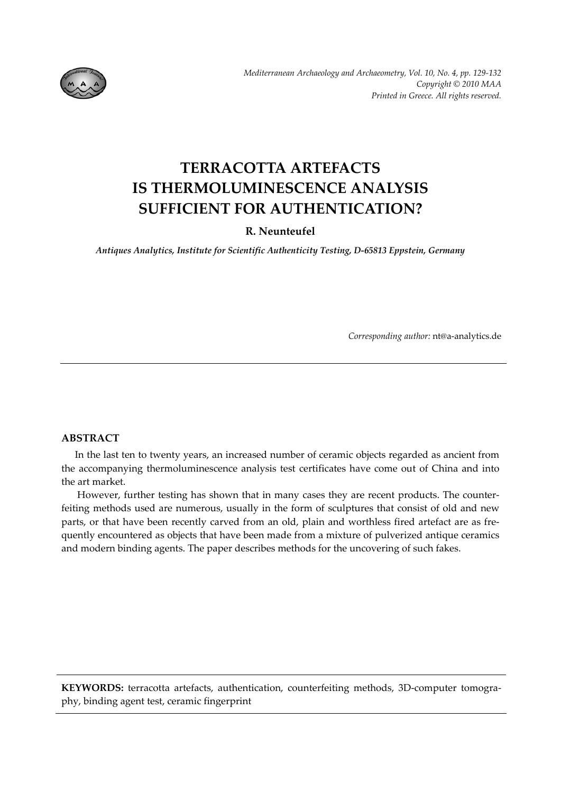

# **TERRACOTTA ARTEFACTS IS THERMOLUMINESCENCE ANALYSIS SUFFICIENT FOR AUTHENTICATION?**

# **R. Neunteufel**

*Antiques Analytics, Institute for Scientific Authenticity Testing, D‐65813 Eppstein, Germany*

*Corresponding author:* nt@a‐analytics.de

## **ABSTRACT**

In the last ten to twenty years, an increased number of ceramic objects regarded as ancient from the accompanying thermoluminescence analysis test certificates have come out of China and into the art market.

However, further testing has shown that in many cases they are recent products. The counterfeiting methods used are numerous, usually in the form of sculptures that consist of old and new parts, or that have been recently carved from an old, plain and worthless fired artefact are as frequently encountered as objects that have been made from a mixture of pulverized antique ceramics and modern binding agents. The paper describes methods for the uncovering of such fakes.

KEYWORDS: terracotta artefacts, authentication, counterfeiting methods, 3D-computer tomography, binding agent test, ceramic fingerprint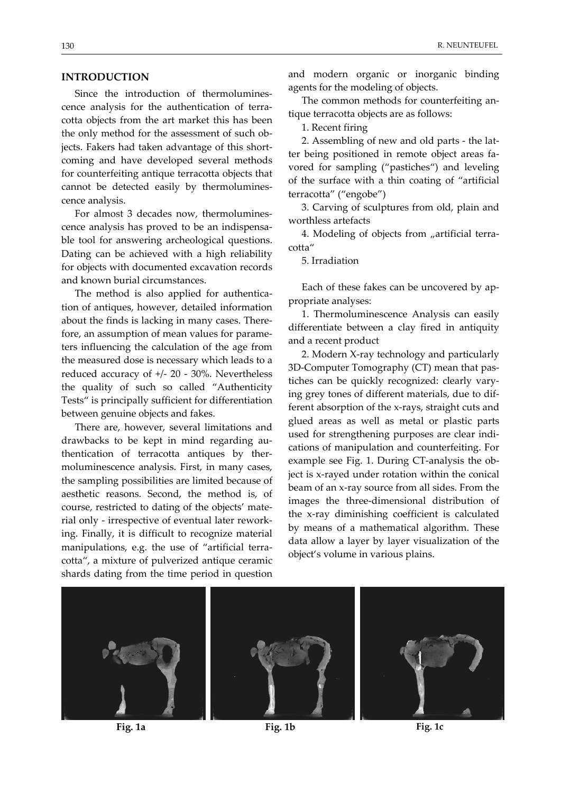### **INTRODUCTION**

Since the introduction of thermoluminescence analysis for the authentication of terra‐ cotta objects from the art market this has been the only method for the assessment of such ob‐ jects. Fakers had taken advantage of this short‐ coming and have developed several methods for counterfeiting antique terracotta objects that cannot be detected easily by thermolumines‐ cence analysis.

For almost 3 decades now, thermolumines‐ cence analysis has proved to be an indispensa‐ ble tool for answering archeological questions. Dating can be achieved with a high reliability for objects with documented excavation records and known burial circumstances.

The method is also applied for authentication of antiques, however, detailed information about the finds is lacking in many cases. There‐ fore, an assumption of mean values for parame‐ ters influencing the calculation of the age from the measured dose is necessary which leads to a reduced accuracy of +/‐ 20 ‐ 30%. Nevertheless the quality of such so called "Authenticity Tests" is principally sufficient for differentiation between genuine objects and fakes.

There are, however, several limitations and drawbacks to be kept in mind regarding au‐ thentication of terracotta antiques by ther‐ moluminescence analysis. First, in many cases, the sampling possibilities are limited because of aesthetic reasons. Second, the method is, of course, restricted to dating of the objects' mate‐ rial only ‐ irrespective of eventual later rework‐ ing. Finally, it is difficult to recognize material manipulations, e.g. the use of "artificial terra‐ cotta", a mixture of pulverized antique ceramic shards dating from the time period in question

and modern organic or inorganic binding agents for the modeling of objects.

The common methods for counterfeiting an‐ tique terracotta objects are as follows:

1. Recent firing

2. Assembling of new and old parts ‐ the lat‐ ter being positioned in remote object areas fa‐ vored for sampling ("pastiches") and leveling of the surface with a thin coating of "artificial terracotta" ("engobe")

3. Carving of sculptures from old, plain and worthless artefacts

4. Modeling of objects from "artificial terracotta"

5. Irradiation

Each of these fakes can be uncovered by ap‐ propriate analyses:

1. Thermoluminescence Analysis can easily differentiate between a clay fired in antiquity and a recent product

2. Modern X‐ray technology and particularly 3D‐Computer Tomography (CT) mean that pas‐ tiches can be quickly recognized: clearly vary‐ ing grey tones of different materials, due to dif‐ ferent absorption of the x‐rays, straight cuts and glued areas as well as metal or plastic parts used for strengthening purposes are clear indications of manipulation and counterfeiting. For example see Fig. 1. During CT-analysis the object is x‐rayed under rotation within the conical beam of an x‐ray source from all sides. From the images the three‐dimensional distribution of the x‐ray diminishing coefficient is calculated by means of a mathematical algorithm. These data allow a layer by layer visualization of the object's volume in various plains.



**Fig. 1a Fig. 1b Fig. 1c**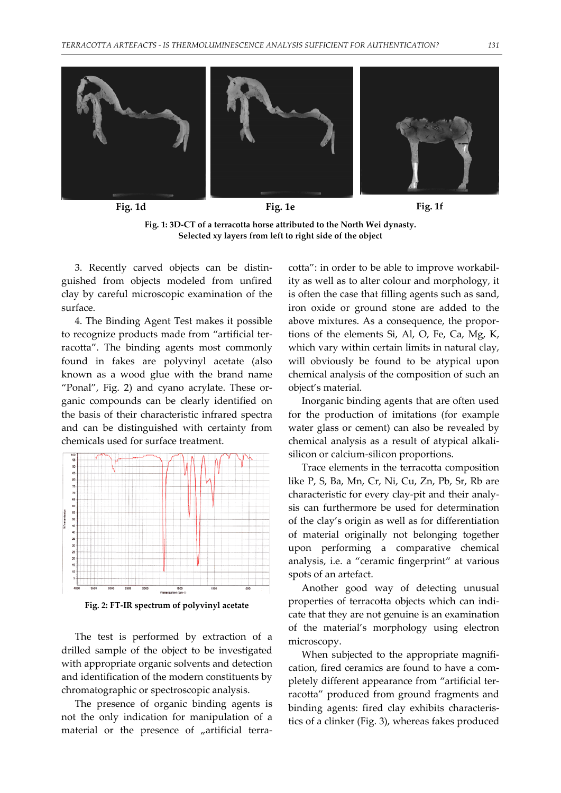

**Fig. 1d Fig. 1e Fig. 1f**

**Fig. 1: 3D‐CT of a terracotta horse attributed to the North Wei dynasty. Selected xy layers from left to right side of the object**

3. Recently carved objects can be distin‐ guished from objects modeled from unfired clay by careful microscopic examination of the surface.

4. The Binding Agent Test makes it possible to recognize products made from "artificial ter‐ racotta". The binding agents most commonly found in fakes are polyvinyl acetate (also known as a wood glue with the brand name "Ponal", Fig. 2) and cyano acrylate. These or‐ ganic compounds can be clearly identified on the basis of their characteristic infrared spectra and can be distinguished with certainty from chemicals used for surface treatment.



**Fig. 2: FT‐IR spectrum of polyvinyl acetate**

The test is performed by extraction of a drilled sample of the object to be investigated with appropriate organic solvents and detection and identification of the modern constituents by chromatographic or spectroscopic analysis.

The presence of organic binding agents is not the only indication for manipulation of a material or the presence of "artificial terracotta": in order to be able to improve workabil‐ ity as well as to alter colour and morphology, it is often the case that filling agents such as sand, iron oxide or ground stone are added to the above mixtures. As a consequence, the propor‐ tions of the elements Si, Al, O, Fe, Ca, Mg, K, which vary within certain limits in natural clay, will obviously be found to be atypical upon chemical analysis of the composition of such an object's material.

Inorganic binding agents that are often used for the production of imitations (for example water glass or cement) can also be revealed by chemical analysis as a result of atypical alkali‐ silicon or calcium‐silicon proportions.

Trace elements in the terracotta composition like P, S, Ba, Mn, Cr, Ni, Cu, Zn, Pb, Sr, Rb are characteristic for every clay‐pit and their analy‐ sis can furthermore be used for determination of the clay's origin as well as for differentiation of material originally not belonging together upon performing a comparative chemical analysis, i.e. a "ceramic fingerprint" at various spots of an artefact.

Another good way of detecting unusual properties of terracotta objects which can indi‐ cate that they are not genuine is an examination of the material's morphology using electron microscopy.

When subjected to the appropriate magnification, fired ceramics are found to have a com‐ pletely different appearance from "artificial ter‐ racotta" produced from ground fragments and binding agents: fired clay exhibits characteris‐ tics of a clinker (Fig. 3), whereas fakes produced